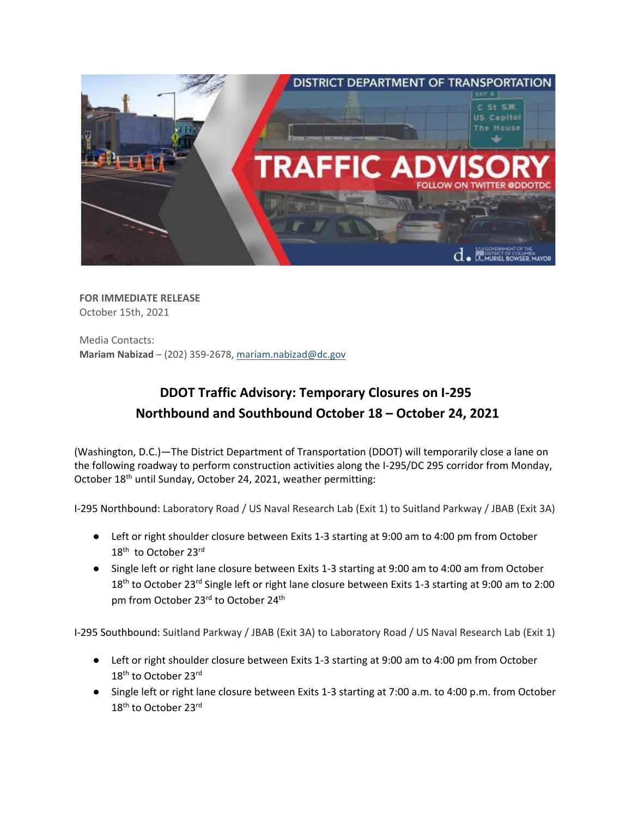

**FOR IMMEDIATE RELEASE** October 15th, 2021

Media Contacts: **Mariam Nabizad** – (202) 359-2678, [mariam.nabizad@dc.gov](mailto:mariam.nabizad@dc.gov)

## **DDOT Traffic Advisory: Temporary Closures on I-295 Northbound and Southbound October 18 – October 24, 2021**

(Washington, D.C.)—The District Department of Transportation (DDOT) will temporarily close a lane on the following roadway to perform construction activities along the I-295/DC 295 corridor from Monday, October 18<sup>th</sup> until Sunday, October 24, 2021, weather permitting:

I-295 Northbound: Laboratory Road / US Naval Research Lab (Exit 1) to Suitland Parkway / JBAB (Exit 3A)

- Left or right shoulder closure between Exits 1-3 starting at 9:00 am to 4:00 pm from October 18<sup>th</sup> to October 23rd
- Single left or right lane closure between Exits 1-3 starting at 9:00 am to 4:00 am from October 18<sup>th</sup> to October 23<sup>rd</sup> Single left or right lane closure between Exits 1-3 starting at 9:00 am to 2:00 pm from October 23<sup>rd</sup> to October 24<sup>th</sup>

I-295 Southbound: Suitland Parkway / JBAB (Exit 3A) to Laboratory Road / US Naval Research Lab (Exit 1)

- Left or right shoulder closure between Exits 1-3 starting at 9:00 am to 4:00 pm from October 18<sup>th</sup> to October 23<sup>rd</sup>
- Single left or right lane closure between Exits 1-3 starting at 7:00 a.m. to 4:00 p.m. from October 18<sup>th</sup> to October 23<sup>rd</sup>